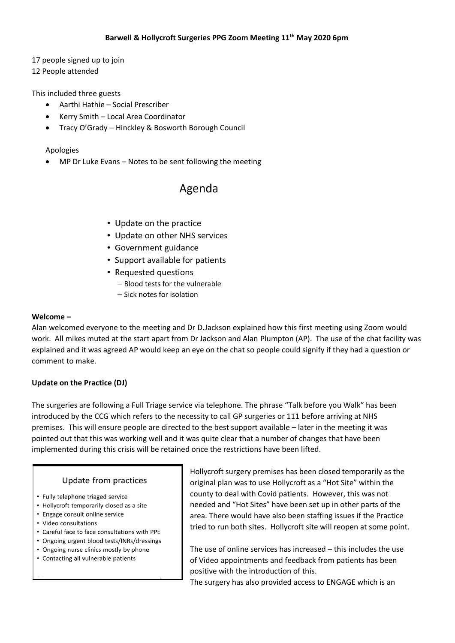17 people signed up to join

12 People attended

This included three guests

- Aarthi Hathie Social Prescriber
- Kerry Smith Local Area Coordinator
- Tracy O'Grady Hinckley & Bosworth Borough Council

#### Apologies

MP Dr Luke Evans – Notes to be sent following the meeting

# Agenda

- Update on the practice
- Update on other NHS services
- Government guidance
- Support available for patients
- Requested questions
	- Blood tests for the vulnerable
	- Sick notes for isolation

#### **Welcome –**

Alan welcomed everyone to the meeting and Dr D.Jackson explained how this first meeting using Zoom would work. All mikes muted at the start apart from Dr Jackson and Alan Plumpton (AP). The use of the chat facility was explained and it was agreed AP would keep an eye on the chat so people could signify if they had a question or comment to make.

# **Update on the Practice (DJ)**

The surgeries are following a Full Triage service via telephone. The phrase "Talk before you Walk" has been introduced by the CCG which refers to the necessity to call GP surgeries or 111 before arriving at NHS premises. This will ensure people are directed to the best support available – later in the meeting it was pointed out that this was working well and it was quite clear that a number of changes that have been implemented during this crisis will be retained once the restrictions have been lifted.

#### Update from practices

- Fully telephone triaged service
- Hollycroft temporarily closed as a site
- Engage consult online service
- Video consultations
- Careful face to face consultations with PPE
- Ongoing urgent blood tests/INRs/dressings
- Ongoing nurse clinics mostly by phone
- Contacting all vulnerable patients

Hollycroft surgery premises has been closed temporarily as the original plan was to use Hollycroft as a "Hot Site" within the county to deal with Covid patients. However, this was not needed and "Hot Sites" have been set up in other parts of the area. There would have also been staffing issues if the Practice tried to run both sites. Hollycroft site will reopen at some point.

The use of online services has increased – this includes the use of Video appointments and feedback from patients has been positive with the introduction of this.

The surgery has also provided access to ENGAGE which is an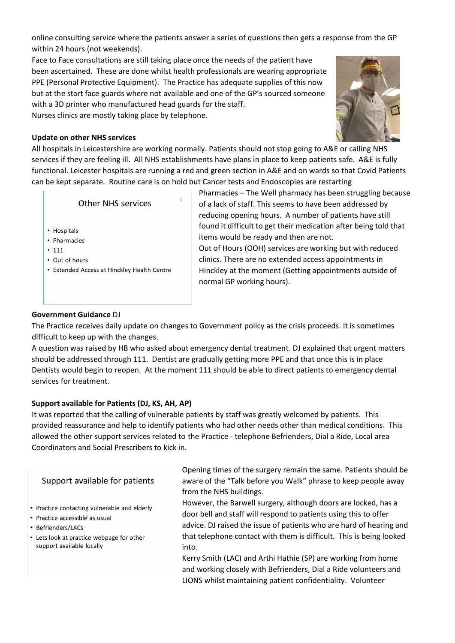online consulting service where the patients answer a series of questions then gets a response from the GP within 24 hours (not weekends).

Face to Face consultations are still taking place once the needs of the patient have been ascertained. These are done whilst health professionals are wearing appropriate PPE (Personal Protective Equipment). The Practice has adequate supplies of this now but at the start face guards where not available and one of the GP's sourced someone with a 3D printer who manufactured head guards for the staff. Nurses clinics are mostly taking place by telephone.



# **Update on other NHS services**

All hospitals in Leicestershire are working normally. Patients should not stop going to A&E or calling NHS services if they are feeling ill. All NHS establishments have plans in place to keep patients safe. A&E is fully functional. Leicester hospitals are running a red and green section in A&E and on wards so that Covid Patients can be kept separate. Routine care is on hold but Cancer tests and Endoscopies are restarting

- Hospitals
- Pharmacies
- $111$
- Out of hours
- Extended Access at Hinckley Health Centre

Pharmacies – The Well pharmacy has been struggling because of a lack of staff. This seems to have been addressed by reducing opening hours. A number of patients have still found it difficult to get their medication after being told that items would be ready and then are not. Out of Hours (OOH) services are working but with reduced clinics. There are no extended access appointments in Hinckley at the moment (Getting appointments outside of normal GP working hours).

# **Government Guidance** DJ

The Practice receives daily update on changes to Government policy as the crisis proceeds. It is sometimes difficult to keep up with the changes.

A question was raised by HB who asked about emergency dental treatment. DJ explained that urgent matters should be addressed through 111. Dentist are gradually getting more PPE and that once this is in place Dentists would begin to reopen. At the moment 111 should be able to direct patients to emergency dental services for treatment.

# **Support available for Patients (DJ, KS, AH, AP)**

It was reported that the calling of vulnerable patients by staff was greatly welcomed by patients. This provided reassurance and help to identify patients who had other needs other than medical conditions. This allowed the other support services related to the Practice - telephone Befrienders, Dial a Ride, Local area Coordinators and Social Prescribers to kick in.

# Support available for patients

- Practice contacting vulnerable and elderly
- · Practice accessible as usual
- Befrienders/LACs
- Lets look at practice webpage for other support available locally

Opening times of the surgery remain the same. Patients should be aware of the "Talk before you Walk" phrase to keep people away from the NHS buildings.

However, the Barwell surgery, although doors are locked, has a door bell and staff will respond to patients using this to offer advice. DJ raised the issue of patients who are hard of hearing and that telephone contact with them is difficult. This is being looked into.

Kerry Smith (LAC) and Arthi Hathie (SP) are working from home and working closely with Befrienders, Dial a Ride volunteers and LIONS whilst maintaining patient confidentiality. Volunteer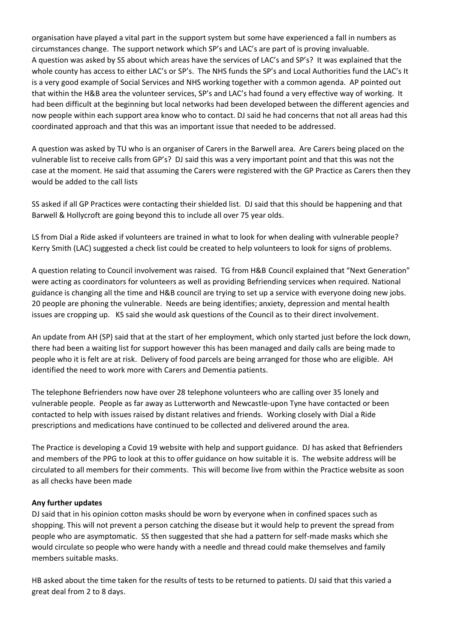organisation have played a vital part in the support system but some have experienced a fall in numbers as circumstances change. The support network which SP's and LAC's are part of is proving invaluable. A question was asked by SS about which areas have the services of LAC's and SP's? It was explained that the whole county has access to either LAC's or SP's. The NHS funds the SP's and Local Authorities fund the LAC's It is a very good example of Social Services and NHS working together with a common agenda. AP pointed out that within the H&B area the volunteer services, SP's and LAC's had found a very effective way of working. It had been difficult at the beginning but local networks had been developed between the different agencies and now people within each support area know who to contact. DJ said he had concerns that not all areas had this coordinated approach and that this was an important issue that needed to be addressed.

A question was asked by TU who is an organiser of Carers in the Barwell area. Are Carers being placed on the vulnerable list to receive calls from GP's? DJ said this was a very important point and that this was not the case at the moment. He said that assuming the Carers were registered with the GP Practice as Carers then they would be added to the call lists

SS asked if all GP Practices were contacting their shielded list. DJ said that this should be happening and that Barwell & Hollycroft are going beyond this to include all over 75 year olds.

LS from Dial a Ride asked if volunteers are trained in what to look for when dealing with vulnerable people? Kerry Smith (LAC) suggested a check list could be created to help volunteers to look for signs of problems.

A question relating to Council involvement was raised. TG from H&B Council explained that "Next Generation" were acting as coordinators for volunteers as well as providing Befriending services when required. National guidance is changing all the time and H&B council are trying to set up a service with everyone doing new jobs. 20 people are phoning the vulnerable. Needs are being identifies; anxiety, depression and mental health issues are cropping up. KS said she would ask questions of the Council as to their direct involvement.

An update from AH (SP) said that at the start of her employment, which only started just before the lock down, there had been a waiting list for support however this has been managed and daily calls are being made to people who it is felt are at risk. Delivery of food parcels are being arranged for those who are eligible. AH identified the need to work more with Carers and Dementia patients.

The telephone Befrienders now have over 28 telephone volunteers who are calling over 35 lonely and vulnerable people. People as far away as Lutterworth and Newcastle-upon Tyne have contacted or been contacted to help with issues raised by distant relatives and friends. Working closely with Dial a Ride prescriptions and medications have continued to be collected and delivered around the area.

The Practice is developing a Covid 19 website with help and support guidance. DJ has asked that Befrienders and members of the PPG to look at this to offer guidance on how suitable it is. The website address will be circulated to all members for their comments. This will become live from within the Practice website as soon as all checks have been made

#### **Any further updates**

DJ said that in his opinion cotton masks should be worn by everyone when in confined spaces such as shopping. This will not prevent a person catching the disease but it would help to prevent the spread from people who are asymptomatic. SS then suggested that she had a pattern for self-made masks which she would circulate so people who were handy with a needle and thread could make themselves and family members suitable masks.

HB asked about the time taken for the results of tests to be returned to patients. DJ said that this varied a great deal from 2 to 8 days.